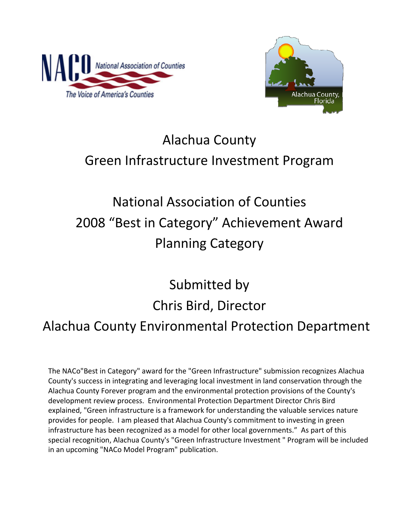



# Alachua County Green Infrastructure Investment Program

# National Association of Counties 2008 "Best in Category" Achievement Award Planning Category

# Submitted by Chris Bird, Director Alachua County Environmental Protection Department

The NACo"Best in Category" award for the "Green Infrastructure" submission recognizes Alachua County's success in integrating and leveraging local investment in land conservation through the Alachua County Forever program and the environmental protection provisions of the County's development review process. Environmental Protection Department Director Chris Bird explained, "Green infrastructure is a framework for understanding the valuable services nature provides for people. I am pleased that Alachua County's commitment to investing in green infrastructure has been recognized as a model for other local governments." As part of this special recognition, Alachua County's "Green Infrastructure Investment " Program will be included in an upcoming "NACo Model Program" publication.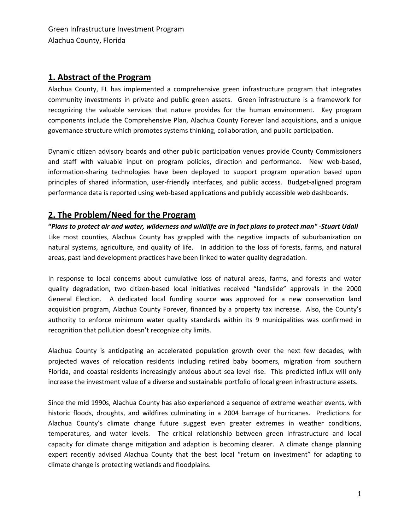### **1. Abstract of the Program**

Alachua County, FL has implemented a comprehensive green infrastructure program that integrates community investments in private and public green assets. Green infrastructure is a framework for recognizing the valuable services that nature provides for the human environment. Key program components include the Comprehensive Plan, Alachua County Forever land acquisitions, and a unique governance structure which promotes systems thinking, collaboration, and public participation.

Dynamic citizen advisory boards and other public participation venues provide County Commissioners and staff with valuable input on program policies, direction and performance. New web-based, information‐sharing technologies have been deployed to support program operation based upon principles of shared information, user‐friendly interfaces, and public access. Budget‐aligned program performance data is reported using web-based applications and publicly accessible web dashboards.

### **2. The Problem/Need for the Program**

"Plans to protect air and water, wilderness and wildlife are in fact plans to protect man" -Stuart Udall Like most counties, Alachua County has grappled with the negative impacts of suburbanization on natural systems, agriculture, and quality of life. In addition to the loss of forests, farms, and natural areas, past land development practices have been linked to water quality degradation.

In response to local concerns about cumulative loss of natural areas, farms, and forests and water quality degradation, two citizen‐based local initiatives received "landslide" approvals in the 2000 General Election. A dedicated local funding source was approved for a new conservation land acquisition program, Alachua County Forever, financed by a property tax increase. Also, the County's authority to enforce minimum water quality standards within its 9 municipalities was confirmed in recognition that pollution doesn't recognize city limits.

Alachua County is anticipating an accelerated population growth over the next few decades, with projected waves of relocation residents including retired baby boomers, migration from southern Florida, and coastal residents increasingly anxious about sea level rise. This predicted influx will only increase the investment value of a diverse and sustainable portfolio of local green infrastructure assets.

Since the mid 1990s, Alachua County has also experienced a sequence of extreme weather events, with historic floods, droughts, and wildfires culminating in a 2004 barrage of hurricanes. Predictions for Alachua County's climate change future suggest even greater extremes in weather conditions, temperatures, and water levels. The critical relationship between green infrastructure and local capacity for climate change mitigation and adaption is becoming clearer. A climate change planning expert recently advised Alachua County that the best local "return on investment" for adapting to climate change is protecting wetlands and floodplains.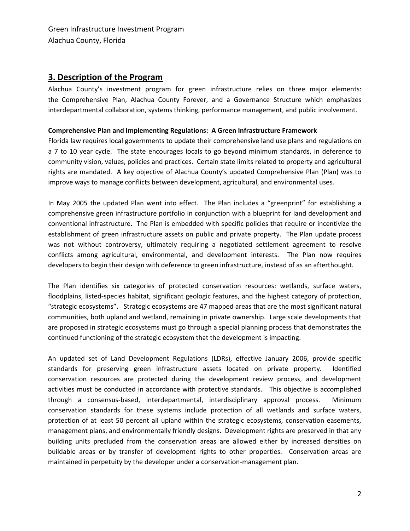### **3. Description of the Program**

Alachua County's investment program for green infrastructure relies on three major elements: the Comprehensive Plan, Alachua County Forever, and a Governance Structure which emphasizes interdepartmental collaboration, systems thinking, performance management, and public involvement.

#### **Comprehensive Plan and Implementing Regulations: A Green Infrastructure Framework**

Florida law requires local governments to update their comprehensive land use plans and regulations on a 7 to 10 year cycle. The state encourages locals to go beyond minimum standards, in deference to community vision, values, policies and practices. Certain state limits related to property and agricultural rights are mandated. A key objective of Alachua County's updated Comprehensive Plan (Plan) was to improve ways to manage conflicts between development, agricultural, and environmental uses.

In May 2005 the updated Plan went into effect. The Plan includes a "greenprint" for establishing a comprehensive green infrastructure portfolio in conjunction with a blueprint for land development and conventional infrastructure. The Plan is embedded with specific policies that require or incentivize the establishment of green infrastructure assets on public and private property. The Plan update process was not without controversy, ultimately requiring a negotiated settlement agreement to resolve conflicts among agricultural, environmental, and development interests. The Plan now requires developers to begin their design with deference to green infrastructure, instead of as an afterthought.

The Plan identifies six categories of protected conservation resources: wetlands, surface waters, floodplains, listed‐species habitat, significant geologic features, and the highest category of protection, "strategic ecosystems". Strategic ecosystems are 47 mapped areas that are the most significant natural communities, both upland and wetland, remaining in private ownership. Large scale developments that are proposed in strategic ecosystems must go through a special planning process that demonstrates the continued functioning of the strategic ecosystem that the development is impacting.

An updated set of Land Development Regulations (LDRs), effective January 2006, provide specific standards for preserving green infrastructure assets located on private property. Identified conservation resources are protected during the development review process, and development activities must be conducted in accordance with protective standards. This objective is accomplished through a consensus‐based, interdepartmental, interdisciplinary approval process. Minimum conservation standards for these systems include protection of all wetlands and surface waters, protection of at least 50 percent all upland within the strategic ecosystems, conservation easements, management plans, and environmentally friendly designs. Development rights are preserved in that any building units precluded from the conservation areas are allowed either by increased densities on buildable areas or by transfer of development rights to other properties. Conservation areas are maintained in perpetuity by the developer under a conservation-management plan.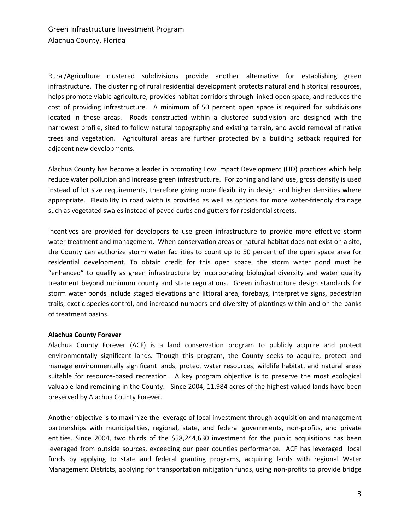Rural/Agriculture clustered subdivisions provide another alternative for establishing green infrastructure. The clustering of rural residential development protects natural and historical resources, helps promote viable agriculture, provides habitat corridors through linked open space, and reduces the cost of providing infrastructure. A minimum of 50 percent open space is required for subdivisions located in these areas. Roads constructed within a clustered subdivision are designed with the narrowest profile, sited to follow natural topography and existing terrain, and avoid removal of native trees and vegetation. Agricultural areas are further protected by a building setback required for adjacent new developments.

Alachua County has become a leader in promoting Low Impact Development (LID) practices which help reduce water pollution and increase green infrastructure. For zoning and land use, gross density is used instead of lot size requirements, therefore giving more flexibility in design and higher densities where appropriate. Flexibility in road width is provided as well as options for more water-friendly drainage such as vegetated swales instead of paved curbs and gutters for residential streets.

Incentives are provided for developers to use green infrastructure to provide more effective storm water treatment and management. When conservation areas or natural habitat does not exist on a site, the County can authorize storm water facilities to count up to 50 percent of the open space area for residential development. To obtain credit for this open space, the storm water pond must be "enhanced" to qualify as green infrastructure by incorporating biological diversity and water quality treatment beyond minimum county and state regulations. Green infrastructure design standards for storm water ponds include staged elevations and littoral area, forebays, interpretive signs, pedestrian trails, exotic species control, and increased numbers and diversity of plantings within and on the banks of treatment basins.

#### **Alachua County Forever**

Alachua County Forever (ACF) is a land conservation program to publicly acquire and protect environmentally significant lands. Though this program, the County seeks to acquire, protect and manage environmentally significant lands, protect water resources, wildlife habitat, and natural areas suitable for resource-based recreation. A key program objective is to preserve the most ecological valuable land remaining in the County. Since 2004, 11,984 acres of the highest valued lands have been preserved by Alachua County Forever.

Another objective is to maximize the leverage of local investment through acquisition and management partnerships with municipalities, regional, state, and federal governments, non‐profits, and private entities. Since 2004, two thirds of the \$58,244,630 investment for the public acquisitions has been leveraged from outside sources, exceeding our peer counties performance. ACF has leveraged local funds by applying to state and federal granting programs, acquiring lands with regional Water Management Districts, applying for transportation mitigation funds, using non‐profits to provide bridge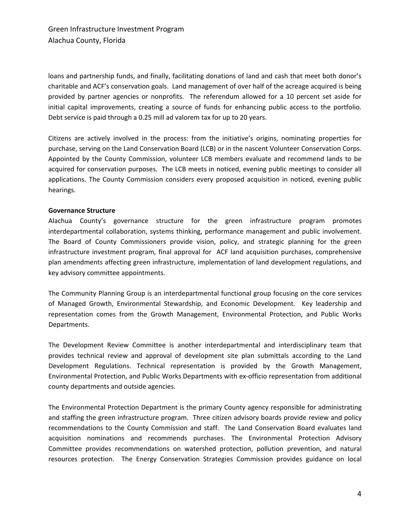loans and partnership funds, and finally, facilitating donations of land and cash that meet both donor's charitable and ACF's conservation goals. Land management of over half of the acreage acquired is being provided by partner agencies or nonprofits. The referendum allowed for a 10 percent set aside for initial capital improvements, creating a source of funds for enhancing public access to the portfolio. Debt service is paid through a 0.25 mill ad valorem tax for up to 20 years.

Citizens are actively involved in the process: from the initiative's origins, nominating properties for purchase, serving on the Land Conservation Board (LCB) or in the nascent Volunteer Conservation Corps. Appointed by the County Commission, volunteer LCB members evaluate and recommend lands to be acquired for conservation purposes. The LCB meets in noticed, evening public meetings to consider all applications. The County Commission considers every proposed acquisition in noticed, evening public hearings.

#### **Governance Structure**

Alachua County's governance structure for the green infrastructure program promotes interdepartmental collaboration, systems thinking, performance management and public involvement. The Board of County Commissioners provide vision, policy, and strategic planning for the green infrastructure investment program, final approval for ACF land acquisition purchases, comprehensive plan amendments affecting green infrastructure, implementation of land development regulations, and key advisory committee appointments.

The Community Planning Group is an interdepartmental functional group focusing on the core services of Managed Growth, Environmental Stewardship, and Economic Development. Key leadership and representation comes from the Growth Management, Environmental Protection, and Public Works Departments.

The Development Review Committee is another interdepartmental and interdisciplinary team that provides technical review and approval of development site plan submittals according to the Land Development Regulations. Technical representation is provided by the Growth Management, Environmental Protection, and Public Works Departments with ex‐officio representation from additional county departments and outside agencies.

The Environmental Protection Department is the primary County agency responsible for administrating and staffing the green infrastructure program. Three citizen advisory boards provide review and policy recommendations to the County Commission and staff. The Land Conservation Board evaluates land acquisition nominations and recommends purchases. The Environmental Protection Advisory Committee provides recommendations on watershed protection, pollution prevention, and natural resources protection. The Energy Conservation Strategies Commission provides guidance on local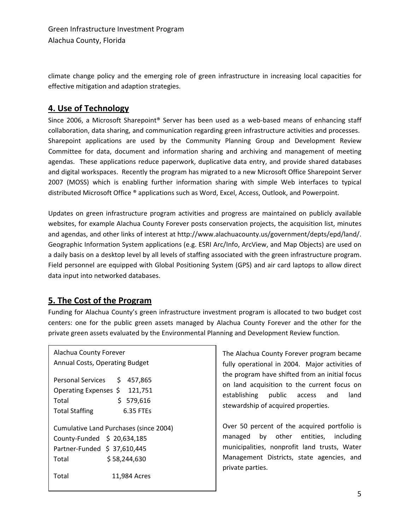climate change policy and the emerging role of green infrastructure in increasing local capacities for effective mitigation and adaption strategies.

## **4. Use of Technology**

Since 2006, a Microsoft Sharepoint® Server has been used as a web-based means of enhancing staff collaboration, data sharing, and communication regarding green infrastructure activities and processes. Sharepoint applications are used by the Community Planning Group and Development Review Committee for data, document and information sharing and archiving and management of meeting agendas. These applications reduce paperwork, duplicative data entry, and provide shared databases and digital workspaces. Recently the program has migrated to a new Microsoft Office Sharepoint Server 2007 (MOSS) which is enabling further information sharing with simple Web interfaces to typical distributed Microsoft Office ® applications such as Word, Excel, Access, Outlook, and Powerpoint.

Updates on green infrastructure program activities and progress are maintained on publicly available websites, for example Alachua County Forever posts conservation projects, the acquisition list, minutes and agendas, and other links of interest at http://www.alachuacounty.us/government/depts/epd/land/. Geographic Information System applications (e.g. ESRI Arc/Info, ArcView, and Map Objects) are used on a daily basis on a desktop level by all levels of staffing associated with the green infrastructure program. Field personnel are equipped with Global Positioning System (GPS) and air card laptops to allow direct data input into networked databases.

## **5. The Cost of the Program**

Funding for Alachua County's green infrastructure investment program is allocated to two budget cost centers: one for the public green assets managed by Alachua County Forever and the other for the private green assets evaluated by the Environmental Planning and Development Review function.

Alachua County Forever Annual Costs, Operating Budget Personal Services \$ 457,865 Operating Expenses \$ 121,751 Total \$ 579,616 Total Staffing 6.35 FTEs Cumulative Land Purchases (since 2004) County-Funded \$ 20,634,185 Partner-Funded \$ 37,610,445 Total \$ 58,244,630 Total 11,984 Acres

The Alachua County Forever program became fully operational in 2004. Major activities of the program have shifted from an initial focus on land acquisition to the current focus on establishing public access and land stewardship of acquired properties.

Over 50 percent of the acquired portfolio is managed by other entities, including municipalities, nonprofit land trusts, Water Management Districts, state agencies, and private parties.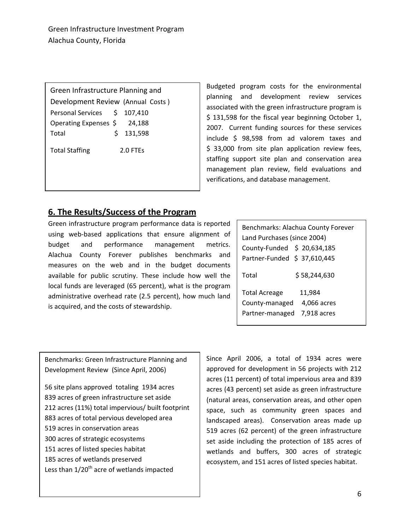Green Infrastructure Planning and Development Review (Annual Costs ) Personal Services \$ 107,410 Operating Expenses \$ 24,188 Total  $\qquad \qquad$  \$ 131,598

Total Staffing 2.0 FTEs

Budgeted program costs for the environmental planning and development review services associated with the green infrastructure program is \$ 131,598 for the fiscal year beginning October 1, 2007. Current funding sources for these services include \$ 98,598 from ad valorem taxes and \$ 33,000 from site plan application review fees, staffing support site plan and conservation area management plan review, field evaluations and verifications, and database management.

# **6. The Results/Success of the Program**

Green infrastructure program performance data is reported using web-based applications that ensure alignment of budget and performance management metrics. Alachua County Forever publishes benchmarks and measures on the web and in the budget documents available for public scrutiny. These include how well the local funds are leveraged (65 percent), what is the program administrative overhead rate (2.5 percent), how much land is acquired, and the costs of stewardship.

| Benchmarks: Alachua County Forever<br>Land Purchases (since 2004) |                                      |
|-------------------------------------------------------------------|--------------------------------------|
| County-Funded \$ 20,634,185<br>Partner-Funded \$ 37,610,445       |                                      |
| Total                                                             | \$58,244,630                         |
| <b>Total Acreage</b><br>County-managed<br>Partner-managed         | 11,984<br>4,066 acres<br>7,918 acres |

Benchmarks: Green Infrastructure Planning and Development Review (Since April, 2006)

 site plans approved totaling 1934 acres acres of green infrastructure set aside acres (11%) total impervious/ built footprint acres of total pervious developed area acres in conservation areas acres of strategic ecosystems acres of listed species habitat acres of wetlands preserved Less than  $1/20^{th}$  acre of wetlands impacted

Since April 2006, a total of 1934 acres were approved for development in 56 projects with 212 acres (11 percent) of total impervious area and 839 acres (43 percent) set aside as green infrastructure (natural areas, conservation areas, and other open space, such as community green spaces and landscaped areas). Conservation areas made up 519 acres (62 percent) of the green infrastructure set aside including the protection of 185 acres of wetlands and buffers, 300 acres of strategic ecosystem, and 151 acres of listed species habitat.